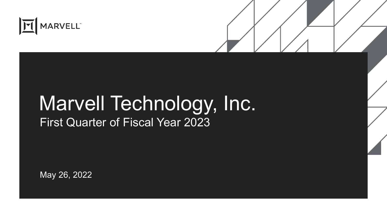

# Marvell Technology, Inc. First Quarter of Fiscal Year 2023

May 26, 2022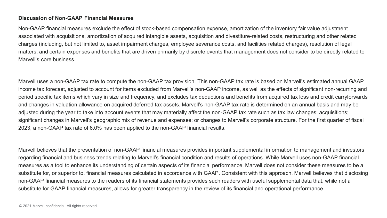#### **Discussion of Non-GAAP Financial Measures**

Non-GAAP financial measures exclude the effect of stock-based compensation expense, amortization of the inventory fair value adjustment associated with acquisitions, amortization of acquired intangible assets, acquisition and divestiture-related costs, restructuring and other related charges (including, but not limited to, asset impairment charges, employee severance costs, and facilities related charges), resolution of legal matters, and certain expenses and benefits that are driven primarily by discrete events that management does not consider to be directly related to Marvell's core business.

Marvell uses a non-GAAP tax rate to compute the non-GAAP tax provision. This non-GAAP tax rate is based on Marvell's estimated annual GAAP income tax forecast, adjusted to account for items excluded from Marvell's non-GAAP income, as well as the effects of significant non-recurring and period specific tax items which vary in size and frequency, and excludes tax deductions and benefits from acquired tax loss and credit carryforwards and changes in valuation allowance on acquired deferred tax assets. Marvell's non-GAAP tax rate is determined on an annual basis and may be adjusted during the year to take into account events that may materially affect the non-GAAP tax rate such as tax law changes; acquisitions; significant changes in Marvell's geographic mix of revenue and expenses; or changes to Marvell's corporate structure. For the first quarter of fiscal 2023, a non-GAAP tax rate of 6.0% has been applied to the non-GAAP financial results.

Marvell believes that the presentation of non-GAAP financial measures provides important supplemental information to management and investors regarding financial and business trends relating to Marvell's financial condition and results of operations. While Marvell uses non-GAAP financial measures as a tool to enhance its understanding of certain aspects of its financial performance, Marvell does not consider these measures to be a substitute for, or superior to, financial measures calculated in accordance with GAAP. Consistent with this approach, Marvell believes that disclosing non-GAAP financial measures to the readers of its financial statements provides such readers with useful supplemental data that, while not a substitute for GAAP financial measures, allows for greater transparency in the review of its financial and operational performance.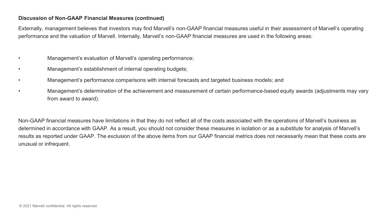#### **Discussion of Non-GAAP Financial Measures (continued)**

Externally, management believes that investors may find Marvell's non-GAAP financial measures useful in their assessment of Marvell's operating performance and the valuation of Marvell. Internally, Marvell's non-GAAP financial measures are used in the following areas:

- Management's evaluation of Marvell's operating performance;
- Management's establishment of internal operating budgets;
- Management's performance comparisons with internal forecasts and targeted business models; and
- Management's determination of the achievement and measurement of certain performance-based equity awards (adjustments may vary from award to award).

Non-GAAP financial measures have limitations in that they do not reflect all of the costs associated with the operations of Marvell's business as determined in accordance with GAAP. As a result, you should not consider these measures in isolation or as a substitute for analysis of Marvell's results as reported under GAAP. The exclusion of the above items from our GAAP financial metrics does not necessarily mean that these costs are unusual or infrequent.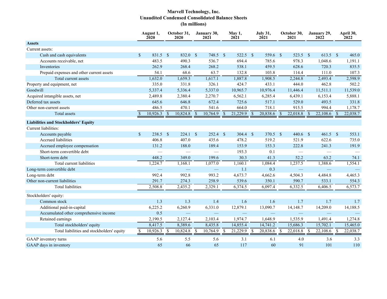### **Marvell Technology, Inc. Unaudited Condensed Consolidated Balance Sheets (In millions)**

|                                             |               | August 1,<br>2020 |                    | October 31,<br>2020      |               | January 30,<br>2021      |               | May 1,<br>2021 |               | <b>July 31,</b><br>2021  |               | October 30,<br>2021      |                          | January 29,<br>2022      |                          | April 30,<br>2022 |
|---------------------------------------------|---------------|-------------------|--------------------|--------------------------|---------------|--------------------------|---------------|----------------|---------------|--------------------------|---------------|--------------------------|--------------------------|--------------------------|--------------------------|-------------------|
| <b>Assets</b>                               |               |                   |                    |                          |               |                          |               |                |               |                          |               |                          |                          |                          |                          |                   |
| Current assets:                             |               |                   |                    |                          |               |                          |               |                |               |                          |               |                          |                          |                          |                          |                   |
| Cash and cash equivalents                   | $\mathbb{S}$  | 831.5             | $\mathbf{s}$       | 832.0 \$                 |               | 748.5                    | <sup>\$</sup> | 522.5          | $\mathbf{s}$  | 559.6 \$                 |               | 523.5                    | $^{\circ}$               | 613.5                    | $\mathbf{s}$             | 465.0             |
| Accounts receivable, net                    |               | 483.5             |                    | 490.3                    |               | 536.7                    |               | 694.4          |               | 785.6                    |               | 978.3                    |                          | 1,048.6                  |                          | 1,191.1           |
| Inventories                                 |               | 262.9             |                    | 268.4                    |               | 268.2                    |               | 538.1          |               | 459.5                    |               | 628.6                    |                          | 720.3                    |                          | 835.5             |
| Prepaid expenses and other current assets   |               | 54.1              |                    | 68.6                     |               | 63.7                     |               | 132.8          |               | 103.8                    |               | 114.4                    |                          | 111.0                    |                          | 107.3             |
| Total current assets                        |               | 1,632.0           |                    | 1,659.3                  |               | 1,617.1                  |               | 1,887.8        |               | 1,908.5                  |               | 2,244.8                  |                          | 2,493.4                  |                          | 2,598.9           |
| Property and equipment, net                 |               | 335.0             |                    | 331.8                    |               | 326.1                    |               | 424.7          |               | 433.1                    |               | 444.0                    |                          | 462.8                    |                          | 502.2             |
| Goodwill                                    |               | 5,337.4           |                    | 5,336.4                  |               | 5,337.0                  |               | 10,965.7       |               | 10,976.4                 |               | 11,446.4                 |                          | 11,511.1                 |                          | 11,539.0          |
| Acquired intangible assets, net             |               | 2,489.8           |                    | 2,380.4                  |               | 2,270.7                  |               | 6,562.1        |               | 6,285.4                  |               | 6,439.1                  |                          | 6,153.4                  |                          | 5,888.1           |
| Deferred tax assets                         |               | 645.6             |                    | 646.8                    |               | 672.4                    |               | 725.6          |               | 517.1                    |               | 529.0                    |                          | 493.5                    |                          | 331.8             |
| Other non-current assets                    |               | 486.5             |                    | 470.1                    |               | 541.6                    |               | 664.0          |               | 718.1                    |               | 915.5                    |                          | 994.4                    |                          | 1,178.7           |
| <b>Total assets</b>                         | $\mathcal{S}$ | 10,926.3          | $\mathbf{\hat{s}}$ | 10,824.8                 | $\mathcal{S}$ | 10,764.9                 | $\mathcal{S}$ | 21,229.9       | $\mathcal{S}$ | 20,838.6                 | $\mathcal{S}$ | 22,018.8                 | $\overline{\mathcal{S}}$ | 22,108.6                 | $\overline{\mathcal{S}}$ | 22,038.7          |
| <b>Liabilities and Stockholders' Equity</b> |               |                   |                    |                          |               |                          |               |                |               |                          |               |                          |                          |                          |                          |                   |
| Current liabilities:                        |               |                   |                    |                          |               |                          |               |                |               |                          |               |                          |                          |                          |                          |                   |
| Accounts payable                            | $\sqrt{\ }$   | $238.5$ \$        |                    | $224.1$ \$               |               | $252.4$ \$               |               | 304.4          | $\mathbb{S}$  | 370.5 \$                 |               | $440.6$ \$               |                          | $461.5$ \$               |                          | 553.1             |
| Accrued liabilities                         |               | 406.8             |                    | 407.0                    |               | 435.6                    |               | 478.2          |               | 519.2                    |               | 521.9                    |                          | 622.6                    |                          | 735.0             |
| Accrued employee compensation               |               | 131.2             |                    | 188.0                    |               | 189.4                    |               | 153.9          |               | 153.3                    |               | 222.8                    |                          | 241.3                    |                          | 191.9             |
| Short-term convertible debt                 |               |                   |                    | $\overline{\phantom{0}}$ |               | $\overline{\phantom{0}}$ |               | 193.3          |               | 0.1                      |               |                          |                          | $\overline{\phantom{0}}$ |                          |                   |
| Short-term debt                             |               | 448.2             |                    | 349.0                    |               | 199.6                    |               | 30.3           |               | 41.3                     |               | 52.2                     |                          | 63.2                     |                          | 74.1              |
| Total current liabilities                   |               | 1,224.7           |                    | 1,168.1                  |               | 1,077.0                  |               | 1,160.1        |               | 1,084.4                  |               | 1,237.5                  |                          | 1,388.6                  |                          | 1,554.1           |
| Long-term convertible debt                  |               |                   |                    |                          |               | $\qquad \qquad -$        |               | 1.1            |               | 0.3                      |               | $\frac{1}{2}$            |                          |                          |                          |                   |
| Long-term debt                              |               | 992.4             |                    | 992.8                    |               | 993.2                    |               | 4,673.7        |               | 4,662.6                  |               | 4,504.3                  |                          | 4,484.8                  |                          | 4,465.3           |
| Other non-current liabilities               |               | 291.7             |                    | 274.3                    |               | 258.9                    |               | 539.6          |               | 350.1                    |               | 590.7                    |                          | 533.1                    |                          | 554.3             |
| <b>Total liabilities</b>                    |               | 2,508.8           |                    | 2,435.2                  |               | 2,329.1                  |               | 6,374.5        |               | 6,097.4                  |               | 6,332.5                  |                          | 6,406.5                  |                          | 6,573.7           |
| Stockholders' equity:                       |               |                   |                    |                          |               |                          |               |                |               |                          |               |                          |                          |                          |                          |                   |
| Common stock                                |               | 1.3               |                    | 1.3                      |               | 1.4                      |               | 1.6            |               | 1.6                      |               | 1.7                      |                          | 1.7                      |                          | 1.7               |
| Additional paid-in-capital                  |               | 6,225.2           |                    | 6,260.9                  |               | 6,331.0                  |               | 12,879.1       |               | 13,090.7                 |               | 14,148.7                 |                          | 14,209.0                 |                          | 14,188.5          |
| Accumulated other comprehensive income      |               | 0.5               |                    |                          |               |                          |               |                |               | $\overline{\phantom{0}}$ |               | $\overline{\phantom{0}}$ |                          |                          |                          |                   |
| Retained earnings                           |               | 2,190.5           |                    | 2,127.4                  |               | 2,103.4                  |               | 1,974.7        |               | 1,648.9                  |               | 1,535.9                  |                          | 1,491.4                  |                          | 1,274.8           |
| Total stockholders' equity                  |               | 8,417.5           |                    | 8,389.6                  |               | 8,435.8                  |               | 14,855.4       |               | 14,741.2                 |               | 15,686.3                 |                          | 15,702.1                 |                          | 15,465.0          |
| Total liabilities and stockholders' equity  | <sup>\$</sup> | 10,926.3          | -S                 | 10,824.8                 | <sup>\$</sup> | 10,764.9                 | <sup>\$</sup> | 21,229.9       | <sup>\$</sup> | 20,838.6                 | <sup>S</sup>  | 22,018.8                 | $\mathbb{S}$             | 22,108.6                 | <sup>\$</sup>            | 22,038.7          |
| GAAP inventory turns                        |               | 5.6               |                    | 5.5                      |               | 5.6                      |               | 3.1            |               | 6.1                      |               | 4.0                      |                          | 3.6                      |                          | 3.3               |
| GAAP days in inventory                      |               | 65                |                    | 66                       |               | 65                       |               | 117            |               | 60                       |               | 91                       |                          | 101                      |                          | 110               |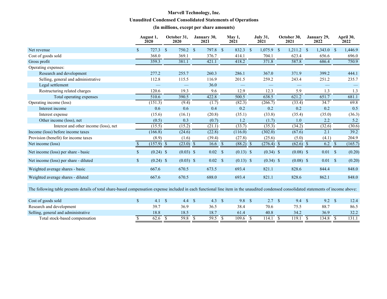# **Marvell Technology, Inc. Unaudited Condensed Consolidated Statements of Operations**

### **(In millions, except per share amounts)**

|                                                                                                                                                                                          |                    | August 1,<br>2020 |                    | October 31,<br>2020               |            | January 30,<br>2021               | May 1,<br>2021    |                    | <b>July 31,</b><br>2021         | October 30,<br>2021 | January 29,<br>2022 |              | April 30,<br>2022 |
|------------------------------------------------------------------------------------------------------------------------------------------------------------------------------------------|--------------------|-------------------|--------------------|-----------------------------------|------------|-----------------------------------|-------------------|--------------------|---------------------------------|---------------------|---------------------|--------------|-------------------|
| Net revenue                                                                                                                                                                              | $\mathbb{S}$       | 727.3             | <sup>\$</sup>      | $750.2$ \$                        |            | 797.8 \$                          | 832.3             | $\mathbf{\hat{s}}$ | $1,075.9$ \$                    | $1,211.2$ \$        | 1,343.0             | $\mathbb{S}$ | 1,446.9           |
| Cost of goods sold                                                                                                                                                                       |                    | 368.0             |                    | 369.1                             |            | 376.7                             | 414.1             |                    | 704.1                           | 623.4               | 656.6               |              | 696.0             |
| Gross profit                                                                                                                                                                             |                    | 359.3             |                    | 381.1                             |            | 421.1                             | 418.2             |                    | 371.8                           | 587.8               | 686.4               |              | 750.9             |
| Operating expenses:                                                                                                                                                                      |                    |                   |                    |                                   |            |                                   |                   |                    |                                 |                     |                     |              |                   |
| Research and development                                                                                                                                                                 |                    | 277.2             |                    | 255.7                             |            | 260.3                             | 286.1             |                    | 367.0                           | 371.9               | 399.2               |              | 444.1             |
| Selling, general and administrative                                                                                                                                                      |                    | 112.8             |                    | 115.5                             |            | 116.9                             | 201.5             |                    | 259.2                           | 243.4               | 251.2               |              | 235.7             |
| Legal settlement                                                                                                                                                                         |                    |                   |                    | $\hspace{0.1mm}-\hspace{0.1mm}$   |            | 36.0                              | $\qquad \qquad -$ |                    | $\hspace{0.1mm}-\hspace{0.1mm}$ |                     | $\qquad \qquad -$   |              |                   |
| Restructuring related charges                                                                                                                                                            |                    | 120.6             |                    | 19.3                              |            | 9.6                               | 12.9              |                    | 12.3                            | 5.9                 | 1.3                 |              | 1.3               |
| Total operating expenses                                                                                                                                                                 |                    | 510.6             |                    | 390.5                             |            | 422.8                             | 500.5             |                    | 638.5                           | 621.2               | 651.7               |              | 681.1             |
| Operating income (loss)                                                                                                                                                                  |                    | (151.3)           |                    | (9.4)                             |            | (1.7)                             | (82.3)            |                    | (266.7)                         | (33.4)              | 34.7                |              | 69.8              |
| Interest income                                                                                                                                                                          |                    | 0.6               |                    | 0.6                               |            | 0.4                               | 0.2               |                    | 0.2                             | 0.2                 | 0.2                 |              | 0.5               |
| Interest expense                                                                                                                                                                         |                    | (15.6)            |                    | (16.1)                            |            | (20.8)                            | (35.1)            |                    | (33.8)                          | (35.4)              | (35.0)              |              | (36.3)            |
| Other income (loss), net                                                                                                                                                                 |                    | (0.5)             |                    | 0.3                               |            | (0.7)                             | 1.2               |                    | (1.7)                           | 1.0                 | 2.2                 |              | 5.2               |
| Interest and other income (loss), net                                                                                                                                                    |                    | (15.5)            |                    | (15.2)                            |            | (21.1)                            | (33.7)            |                    | (35.3)                          | (34.2)              | (32.6)              |              | (30.6)            |
| Income (loss) before income taxes                                                                                                                                                        |                    | (166.8)           |                    | (24.6)                            |            | (22.8)                            | (116.0)           |                    | (302.0)                         | (67.6)              | 2.1                 |              | 39.2              |
| Provision (benefit) for income taxes                                                                                                                                                     |                    | (8.9)             |                    | (1.6)                             |            | (39.4)                            | (27.8)            |                    | (25.6)                          | (5.0)               | (4.1)               |              | 204.9             |
| Net income (loss)                                                                                                                                                                        | $\mathbb{S}$       | $(157.9)$ \$      |                    | $(23.0)$ \$                       |            | $16.6$ \$                         | $(88.2)$ \$       |                    | $(276.4)$ \$                    | $(62.6)$ \$         | $6.2 \quad$         |              | (165.7)           |
| Net income (loss) per share - basic                                                                                                                                                      | $\mathsf{\$}$      | $(0.24)$ \$       |                    | $(0.03)$ \$                       |            | $0.02 \quad$ \$                   | $(0.13)$ \$       |                    | $(0.34)$ \$                     | $(0.08)$ \$         | $0.01 \, \text{S}$  |              | (0.20)            |
| Net income (loss) per share - diluted                                                                                                                                                    | $\mathbb{S}$       | $(0.24)$ \$       |                    | $(0.03)$ \$                       |            | $0.02$ \$                         | $(0.13)$ \$       |                    | $(0.34)$ \$                     | $(0.08)$ \$         | $0.01 \,$ \$        |              | (0.20)            |
| Weighted average shares - basic                                                                                                                                                          |                    | 667.6             |                    | 670.5                             |            | 673.5                             | 693.4             |                    | 821.1                           | 828.6               | 844.4               |              | 848.0             |
| Weighted average shares - diluted                                                                                                                                                        |                    | 667.6             |                    | 670.5                             |            | 688.0                             | 693.4             |                    | 821.1                           | 828.6               | 862.1               |              | 848.0             |
| The following table presents details of total share-based compensation expense included in each functional line item in the unaudited condensed consolidated statements of income above: |                    |                   |                    |                                   |            |                                   |                   |                    |                                 |                     |                     |              |                   |
| Cost of goods sold                                                                                                                                                                       | $\mathbf{\hat{S}}$ | 4.1               | $\mathbf{\hat{s}}$ | 4.4                               | $^{\circ}$ | $4.3 \quad$                       | 9.8 <sup>°</sup>  |                    | 2.7 S                           | $9.4 \quad$         | 9.2 <sup>°</sup>    |              | 12.4              |
| Research and development                                                                                                                                                                 |                    | 39.7              |                    | 36.9                              |            | 36.5                              | 38.4              |                    | 70.6                            | 75.5                | 88.7                |              | 86.5              |
| Selling, general and administrative                                                                                                                                                      |                    | 18.8              |                    | 18.5                              |            | 18.7                              | 61.4              |                    | 40.8                            | 34.2                | 36.9                |              | 32.2              |
| Total stock-based compensation                                                                                                                                                           | $\mathbf S$        | 62.6              | $\mathbb{S}$       | $\overline{59.8}$ $\overline{\$}$ |            | $\overline{59.5}$ $\overline{\$}$ | $109.6$ \$        |                    | $\overline{114.1}$ \$           | 119.1 S             | 134.8               | $\mathbb{S}$ | 131.1             |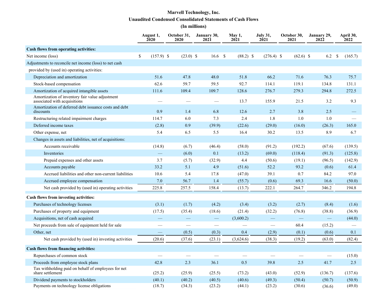# **Marvell Technology, Inc. Unaudited Condensed Consolidated Statements of Cash Flows**

**(In millions)**

|                                                                                 | August 1,<br>2020        | October 31,<br>2020             | January 30,<br>2021      | May 1,<br>2021           | <b>July 31,</b><br>2021 | October 30,<br>2021 | January 29,<br>2022 | April 30,<br>2022 |
|---------------------------------------------------------------------------------|--------------------------|---------------------------------|--------------------------|--------------------------|-------------------------|---------------------|---------------------|-------------------|
| Cash flows from operating activities:                                           |                          |                                 |                          |                          |                         |                     |                     |                   |
| Net income (loss)                                                               | \$<br>$(157.9)$ \$       | $(23.0)$ \$                     | $16.6$ \$                | $(88.2)$ \$              | $(276.4)$ \$            | $(62.6)$ \$         | 6.2                 | -S<br>(165.7)     |
| Adjustments to reconcile net income (loss) to net cash                          |                          |                                 |                          |                          |                         |                     |                     |                   |
| provided by (used in) operating activities:                                     |                          |                                 |                          |                          |                         |                     |                     |                   |
| Depreciation and amortization                                                   | 51.6                     | 47.8                            | 48.0                     | 51.8                     | 66.2                    | 71.6                | 76.3                | 75.7              |
| Stock-based compensation                                                        | 62.6                     | 59.7                            | 59.5                     | 92.7                     | 114.1                   | 119.1               | 134.8               | 131.1             |
| Amortization of acquired intangible assets                                      | 111.6                    | 109.4                           | 109.7                    | 128.6                    | 276.7                   | 279.3               | 294.8               | 272.5             |
| Amortization of inventory fair value adjustment<br>associated with acquisitions |                          |                                 |                          | 13.7                     | 155.9                   | 21.5                | 3.2                 | 9.3               |
| Amortization of deferred debt issuance costs and debt<br>discounts              | 0.9                      | 1.4                             | 6.8                      | 12.6                     | 2.7                     | 3.8                 | 2.5                 |                   |
| Restructuring related impairment charges                                        | 114.7                    | 6.0                             | 7.3                      | 2.4                      | 1.8                     | 1.0                 | 1.0                 |                   |
| Deferred income taxes                                                           | (2.8)                    | 0.9                             | (39.9)                   | (22.6)                   | (29.0)                  | (16.0)              | (26.3)              | 165.0             |
| Other expense, net                                                              | 5.4                      | 6.5                             | 5.5                      | 16.4                     | 30.2                    | 13.5                | 8.9                 | 6.7               |
| Changes in assets and liabilities, net of acquisitions:                         |                          |                                 |                          |                          |                         |                     |                     |                   |
| Accounts receivable                                                             | (14.8)                   | (6.7)                           | (46.4)                   | (58.0)                   | (91.2)                  | (192.2)             | (67.6)              | (139.5)           |
| Inventories                                                                     | $\overline{\phantom{0}}$ | (6.0)                           | 0.1                      | (13.2)                   | (69.0)                  | (118.4)             | (91.3)              | (125.8)           |
| Prepaid expenses and other assets                                               | 3.7                      | (5.7)                           | (32.9)                   | 4.4                      | (50.6)                  | (19.1)              | (96.5)              | (142.9)           |
| Accounts payable                                                                | 33.2                     | 5.1                             | 4.9                      | (51.6)                   | 52.2                    | 93.2                | (0.6)               | 61.4              |
| Accrued liabilities and other non-current liabilities                           | 10.6                     | 5.4                             | 17.8                     | (47.0)                   | 39.1                    | 0.7                 | 84.2                | 97.0              |
| Accrued employee compensation                                                   | 7.0                      | 56.7                            | 1.4                      | (55.7)                   | (0.6)                   | 69.3                | 16.6                | (50.0)            |
| Net cash provided by (used in) operating activities                             | 225.8                    | 257.5                           | 158.4                    | (13.7)                   | 222.1                   | 264.7               | 346.2               | 194.8             |
| Cash flows from investing activities:                                           |                          |                                 |                          |                          |                         |                     |                     |                   |
| Purchases of technology licenses                                                | (3.1)                    | (1.7)                           | (4.2)                    | (3.4)                    | (3.2)                   | (2.7)               | (8.4)               | (1.6)             |
| Purchases of property and equipment                                             | (17.5)                   | (35.4)                          | (18.6)                   | (21.4)                   | (32.2)                  | (76.8)              | (38.8)              | (36.9)            |
| Acquisitions, net of cash acquired                                              |                          |                                 | $\overline{\phantom{0}}$ | (3,600.2)                |                         |                     |                     | (44.0)            |
| Net proceeds from sale of equipment held for sale                               | --                       | $\hspace{0.1mm}-\hspace{0.1mm}$ |                          | $\overline{\phantom{m}}$ |                         | 60.4                | (15.2)              |                   |
| Other, net                                                                      |                          | (0.5)                           | (0.3)                    | 0.4                      | (2.9)                   | (0.1)               | (0.6)               | 0.1               |
| Net cash provided by (used in) investing activities                             | (20.6)                   | (37.6)                          | (23.1)                   | (3,624.6)                | (38.3)                  | (19.2)              | (63.0)              | (82.4)            |
| <b>Cash flows from financing activities:</b>                                    |                          |                                 |                          |                          |                         |                     |                     |                   |
| Repurchases of common stock                                                     |                          |                                 |                          |                          |                         |                     |                     | (15.0)            |
| Proceeds from employee stock plans                                              | 42.8                     | 2.3                             | 36.1                     | 0.5                      | 39.8                    | 2.5                 | 41.7                | 2.5               |
| Tax withholding paid on behalf of employees for net<br>share settlement         | (25.2)                   | (25.9)                          | (25.5)                   | (73.2)                   | (43.0)                  | (52.9)              | (136.7)             | (137.6)           |
| Dividend payments to stockholders                                               | (40.1)                   | (40.2)                          | (40.5)                   | (40.6)                   | (49.3)                  | (50.4)              | (50.7)              | (50.9)            |
| Payments on technology license obligations                                      | (18.7)                   | (34.3)                          | (23.2)                   | (44.1)                   | (23.2)                  | (30.6)              | (36.6)              | (49.0)            |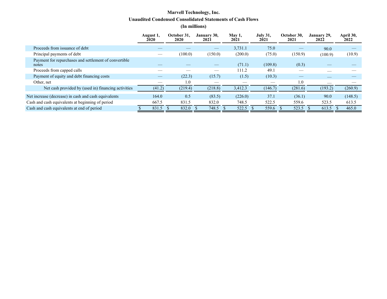## **Marvell Technology, Inc. Unaudited Condensed Consolidated Statements of Cash Flows (In millions)**

|                                                                | August 1,<br><b>2020</b> | October 31.<br><b>2020</b> | January 30,<br>2021             | May 1,<br>2021 | <b>July 31,</b><br>2021 | October 30,<br>2021 | January 29,<br>2022 | April 30,<br>2022 |
|----------------------------------------------------------------|--------------------------|----------------------------|---------------------------------|----------------|-------------------------|---------------------|---------------------|-------------------|
| Proceeds from issuance of debt                                 |                          |                            | $\hspace{0.1mm}-\hspace{0.1mm}$ | 3,731.1        | 75.0                    |                     | 90.0                |                   |
| Principal payments of debt                                     |                          | (100.0)                    | (150.0)                         | (200.0)        | (75.0)                  | (150.9)             | (100.9)             | (10.9)            |
| Payment for repurchases and settlement of convertible<br>notes |                          |                            |                                 | (71.1)         | (109.8)                 | (0.3)               |                     |                   |
| Proceeds from capped calls                                     |                          |                            |                                 | 111.2          | 49.1                    |                     |                     |                   |
| Payment of equity and debt financing costs                     |                          | (22.3)                     | (15.7)                          | (1.5)          | (10.3)                  |                     | __                  |                   |
| Other, net                                                     |                          | 1.0                        |                                 |                |                         | 1.0                 | __                  |                   |
| Net cash provided by (used in) financing activities            | (41.2)                   | (219.4)                    | (218.8)                         | 3,412.3        | (146.7)                 | (281.6)             | (193.2)             | (260.9)           |
| Net increase (decrease) in cash and cash equivalents           | 164.0                    | 0.5                        | (83.5)                          | (226.0)        | 37.1                    | (36.1)              | 90.0                | (148.5)           |
| Cash and cash equivalents at beginning of period               | 667.5                    | 831.5                      | 832.0                           | 748.5          | 522.5                   | 559.6               | 523.5               | 613.5             |
| Cash and cash equivalents at end of period                     | 831.5                    | 832.0                      | 748.5                           | 522.5          | 559.6                   | 523.5               | 613.5               | 465.0             |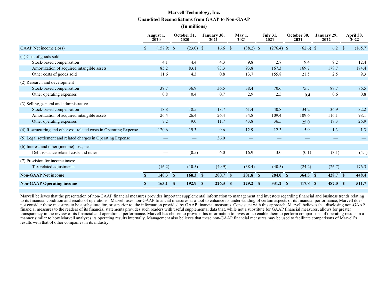## **Marvell Technology, Inc. Unaudited Reconciliations from GAAP to Non-GAAP (In millions)**

|                                                                     | August 1,<br>2020  | October 31,<br>2020    | January 30,<br>2021   | May 1,<br>2021        | <b>July 31,</b><br>2021 | October 30,<br>2021   | January 29,<br>2022     | April 30,<br>2022 |
|---------------------------------------------------------------------|--------------------|------------------------|-----------------------|-----------------------|-------------------------|-----------------------|-------------------------|-------------------|
| GAAP Net income (loss)                                              | $(157.9)$ \$<br>\$ | $(23.0)$ \$            | 16.6 <sup>°</sup>     | $(88.2)$ \$           | $(276.4)$ \$            | $(62.6)$ \$           | 6.2                     | (165.7)<br>-S     |
| (1) Cost of goods sold                                              |                    |                        |                       |                       |                         |                       |                         |                   |
| Stock-based compensation                                            | 4.1                | 4.4                    | 4.3                   | 9.8                   | 2.7                     | 9.4                   | 9.2                     | 12.4              |
| Amortization of acquired intangible assets                          | 85.2               | 83.1                   | 83.3                  | 93.8                  | 167.3                   | 169.7                 | 178.7                   | 174.4             |
| Other costs of goods sold                                           | 11.6               | 4.3                    | 0.8                   | 13.7                  | 155.8                   | 21.5                  | 2.5                     | 9.3               |
| (2) Research and development                                        |                    |                        |                       |                       |                         |                       |                         |                   |
| Stock-based compensation                                            | 39.7               | 36.9                   | 36.5                  | 38.4                  | 70.6                    | 75.5                  | 88.7                    | 86.5              |
| Other operating expenses                                            | 0.8                | 0.4                    | 0.7                   | 2.9                   | 2.5                     | 0.4                   | 0.6                     | 0.8               |
| (3) Selling, general and administrative                             |                    |                        |                       |                       |                         |                       |                         |                   |
| Stock-based compensation                                            | 18.8               | 18.5                   | 18.7                  | 61.4                  | 40.8                    | 34.2                  | 36.9                    | 32.2              |
| Amortization of acquired intangible assets                          | 26.4               | 26.4                   | 26.4                  | 34.8                  | 109.4                   | 109.6                 | 116.1                   | 98.1              |
| Other operating expenses                                            | 7.2                | 9.0                    | 11.7                  | 43.8                  | 36.5                    | 25.0                  | 18.3                    | 26.9              |
| (4) Restructuring and other exit related costs in Operating Expense | 120.6              | 19.3                   | 9.6                   | 12.9                  | 12.3                    | 5.9                   | 1.3                     | 1.3               |
| (5) Legal settlement and related charges in Operating Expense       |                    |                        | 36.0                  |                       |                         |                       |                         |                   |
| (6) Interest and other (income) loss, net                           |                    |                        |                       |                       |                         |                       |                         |                   |
| Debt issuance related costs and other                               |                    | (0.5)                  | 6.0                   | 16.9                  | 3.0                     | (0.1)                 | (3.1)                   | (4.1)             |
| (7) Provision for income taxes:                                     |                    |                        |                       |                       |                         |                       |                         |                   |
| Tax-related adjustments                                             | (16.2)             | (10.5)                 | (49.9)                | (38.4)                | (40.5)                  | (24.2)                | (26.7)                  | 176.3             |
| <b>Non-GAAP Net income</b>                                          | 140.3              | 168.3<br>$\mathbf{\$}$ | 200.7<br>$\mathbf{s}$ | 201.8<br>$\mathbf{s}$ | 284.0<br>$\mathbf{\$}$  | 364.3<br>$\mathbf{s}$ | 428.7 \$<br>$\mathbf s$ | 448.4             |
| <b>Non-GAAP Operating income</b>                                    | 163.1              | 192.9<br>$\mathbf{s}$  | 226.3<br>$\mathbf{s}$ | 229.2<br>$\mathbf{s}$ | 331.2<br>$\mathbf{s}$   | 417.8<br>$\mathbf{s}$ | 487.0<br>$\mathbf{s}$   | 511.7<br>-S       |

Marvell believes that the presentation of non-GAAP financial measures provides important supplemental information to management and investors regarding financial and business trends relating to its financial condition and results of operations. Marvell uses non-GAAP financial measures as a tool to enhance its understanding of certain aspects of its financial performance, Marvell does not consider these measures to be a substitute for, or superior to, the information provided by GAAP financial measures. Consistent with this approach, Marvell believes that disclosing non-GAAP financial measures to the readers of its financial statements provides such readers with useful supplemental data that, while not a substitute for GAAP financial measures, allows for greater transparency in the review of its financial and operational performance. Marvell has chosen to provide this information to investors to enable them to perform comparisons of operating results in a manner similar to how Marvell analyzes its operating results internally. Management also believes that these non-GAAP financial measures may be used to facilitate comparisons of Marvell's results with that of other companies in its industry.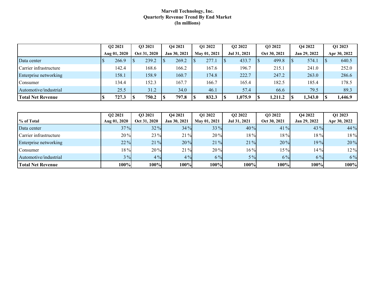#### **Marvell Technology, Inc. Quarterly Revenue Trend By End Market (In millions)**

|                          | O <sub>2</sub> 2021 |              | O3 2021      |  | O <sub>4</sub> 2021 |  | O1 2022      |  | O <sub>2</sub> 2022 |  | O3 2022      | <b>O4 2022</b> |         | O1 2023 |              |
|--------------------------|---------------------|--------------|--------------|--|---------------------|--|--------------|--|---------------------|--|--------------|----------------|---------|---------|--------------|
|                          |                     | Aug 01, 2020 | Oct 31, 2020 |  | Jan 30, 2021        |  | May 01, 2021 |  | Jul 31, 2021        |  | Oct 30, 2021 | Jan 29, 2022   |         |         | Apr 30, 2022 |
| Data center              |                     | 266.9        | 239.2        |  | 269.2               |  | 277.1        |  | 433.7               |  | 499.8        |                | 574.1   |         | 640.5        |
| Carrier infrastructure   |                     | 142.4        | 168.6        |  | 166.2               |  | 167.6        |  | 196.7               |  | 215.1        |                | 241.0   |         | 252.0        |
| Enterprise networking    |                     | 158.1        | 158.9        |  | 160.7               |  | 174.8        |  | 222.7               |  | 247.2        |                | 263.0   |         | 286.6        |
| Consumer                 |                     | 134.4        | 152.3        |  | 167.7               |  | 166.7        |  | 165.4               |  | 182.5        |                | 185.4   |         | 178.5        |
| Automotive/industrial    |                     | 25.5         | 31.2         |  | 34.0                |  | 46.1         |  | 57.4                |  | 66.6         |                | 79.5    |         | 89.3         |
| <b>Total Net Revenue</b> |                     | 727.3        | 750.2        |  | 797.8               |  | 832.3        |  | 1,075.9             |  | 1,211.2      |                | 1,343.0 |         | 1,446.9      |

|                          | O <sub>2</sub> 2021 | O3 2021      | O <sub>4</sub> 2021 | O1 2022      | O <sub>2</sub> 2022 | O3 2022      | O <sub>4</sub> 2022 | O1 2023      |
|--------------------------|---------------------|--------------|---------------------|--------------|---------------------|--------------|---------------------|--------------|
| % of Total               | Aug 01, 2020        | Oct 31, 2020 | Jan 30, 2021        | May 01, 2021 | Jul 31, 2021        | Oct 30, 2021 | Jan 29, 2022        | Apr 30, 2022 |
| Data center              | 37%                 | 32%          | 34%                 | 33 %         | 40%                 | 41%          | $43\%$              | 44 %         |
| Carrier infrastructure   | 20%                 | 23 %         | 21%                 | 20%          | 18%                 | 18%          | 18%                 | $18\%$       |
| Enterprise networking    | 22%                 | 21%          | 20%                 | 21%          | 21%                 | 20%          | 19%                 | 20%          |
| Consumer                 | 18%                 | 20%          | 21%                 | 20%          | $16\%$              | 15%          | 14%                 | 12%          |
| Automotive/industrial    | $3\%$               | 4%           | $4\%$               | 6%           | $5\%$               | $6\%$        | $6\%$               | $6\%$        |
| <b>Total Net Revenue</b> | 100%                | 100%         | 100%                | 100%         | 100%                | 100%         | 100%                | 100%         |